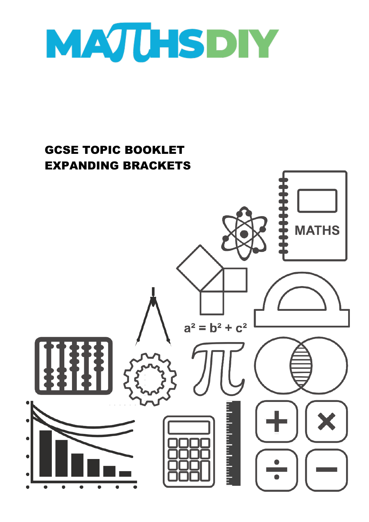

# GCSE TOPIC BOOKLET EXPANDING BRACKETS**MATHS**  $a^2 = b^2 + c^2$ a bandar bandar b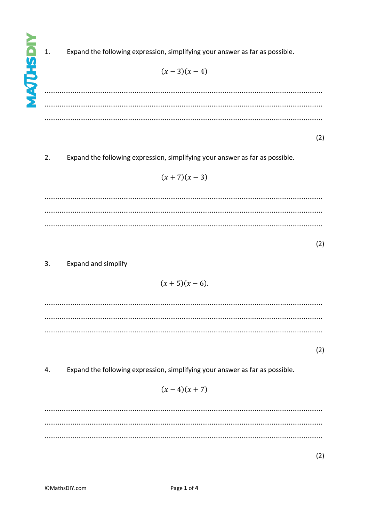$\overline{1}$ .

Expand the following expression, simplifying your answer as far as possible.

$$
(x-3)(x-4)
$$

 $(2)$ 

 $2.$ Expand the following expression, simplifying your answer as far as possible.

$$
(x+7)(x-3)
$$

 $(2)$ 

# $3.$ Expand and simplify

$$
(x+5)(x-6).
$$

 $(2)$ 

 $\overline{4}$ . Expand the following expression, simplifying your answer as far as possible.

$$
(x-4)(x+7)
$$

 $(2)$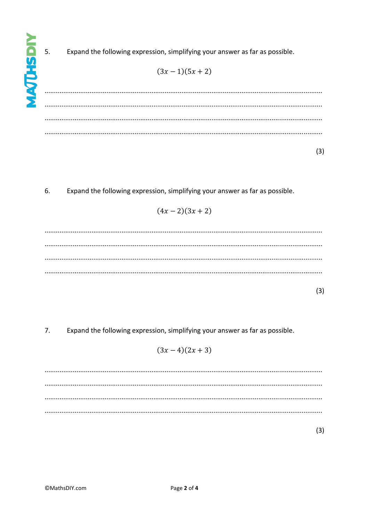$5.$ 

Expand the following expression, simplifying your answer as far as possible.

$$
(3x-1)(5x+2)
$$

 $\ldots$  $(3)$ 

6. Expand the following expression, simplifying your answer as far as possible.

$$
(4x-2)(3x+2)
$$

 $(3)$ 

 $\overline{7}$ . Expand the following expression, simplifying your answer as far as possible.

$$
(3x-4)(2x+3)
$$

 $(3)$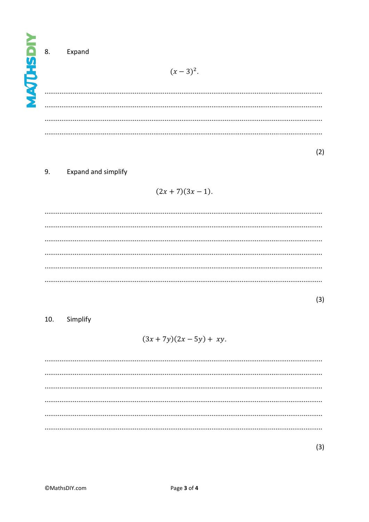| -<br>5 8.<br>Ē. | Expand<br>$(x-3)^2$ . |
|-----------------|-----------------------|
| É               |                       |
|                 |                       |
|                 |                       |

 $(2)$ 

# **Expand and simplify** 9.

$$
(2x+7)(3x-1).
$$

 $(3)$ 

## 10. Simplify

 $(3x + 7y)(2x - 5y) + xy$ .

 $(3)$